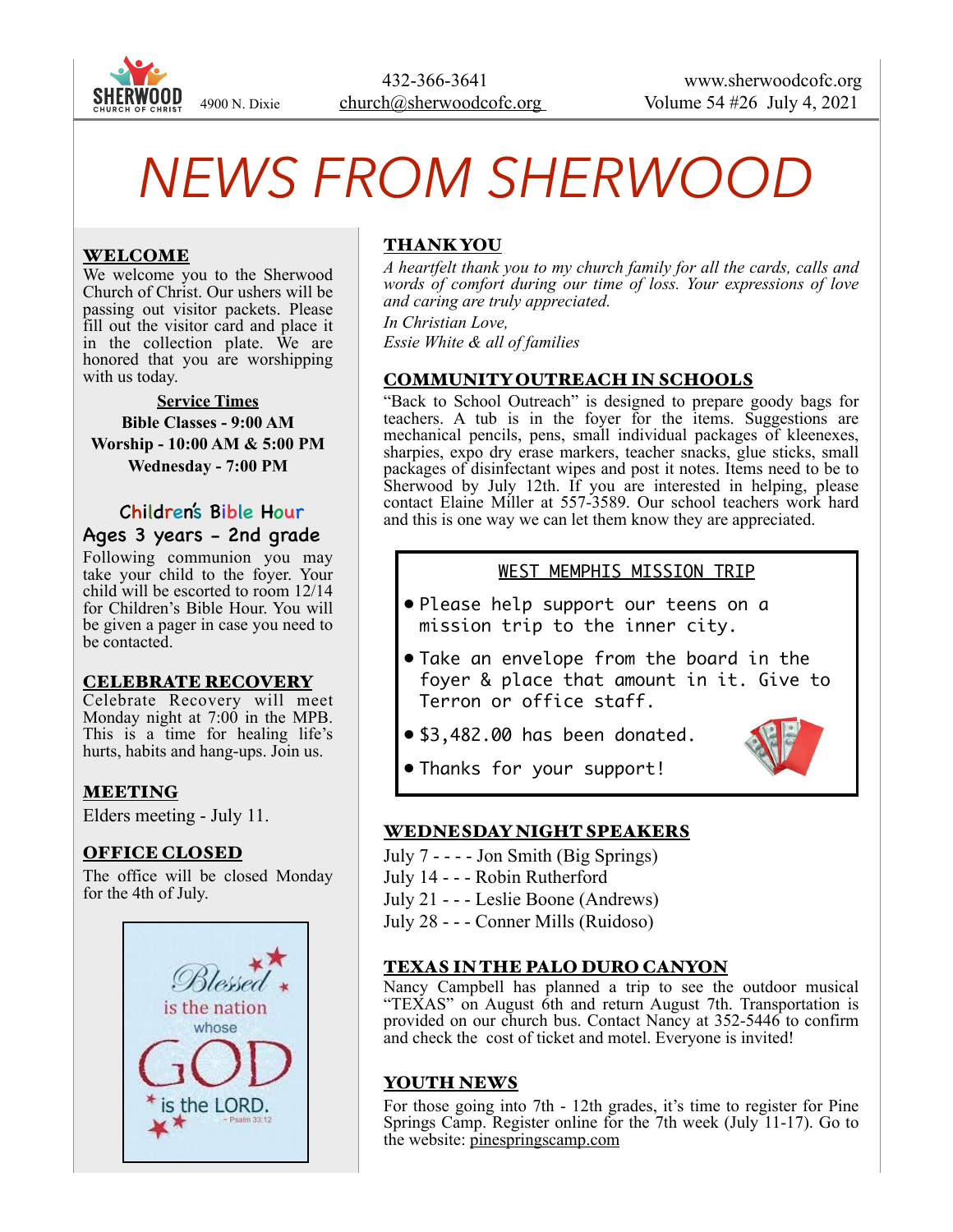

# *NEWS FROM SHERWOOD*

## WELCOME

We welcome you to the Sherwood Church of Christ. Our ushers will be passing out visitor packets. Please fill out the visitor card and place it in the collection plate. We are honored that you are worshipping with us today.

**Service Times Bible Classes - 9:00 AM Worship - 10:00 AM & 5:00 PM Wednesday - 7:00 PM** 

### Children's Bible Hour Ages 3 years - 2nd grade

Following communion you may take your child to the foyer. Your child will be escorted to room 12/14 for Children's Bible Hour. You will be given a pager in case you need to be contacted.

#### CELEBRATE RECOVERY

Celebrate Recovery will meet Monday night at 7:00 in the MPB. This is a time for healing life's hurts, habits and hang-ups. Join us.

### MEETING

Elders meeting - July 11.

#### OFFICE CLOSED

The office will be closed Monday for the 4th of July.



# THANK YOU

*A heartfelt thank you to my church family for all the cards, calls and words of comfort during our time of loss. Your expressions of love and caring are truly appreciated.* 

*In Christian Love, Essie White & all of families* 

#### COMMUNITY OUTREACH IN SCHOOLS

"Back to School Outreach" is designed to prepare goody bags for teachers. A tub is in the foyer for the items. Suggestions are mechanical pencils, pens, small individual packages of kleenexes, sharpies, expo dry erase markers, teacher snacks, glue sticks, small packages of disinfectant wipes and post it notes. Items need to be to Sherwood by July 12th. If you are interested in helping, please contact Elaine Miller at 557-3589. Our school teachers work hard and this is one way we can let them know they are appreciated.

#### WEST MEMPHIS MISSION TRIP

- Please help support our teens on a mission trip to the inner city.
- Take an envelope from the board in the foyer & place that amount in it. Give to Terron or office staff.
- \$3,482.00 has been donated.



• Thanks for your support!

#### WEDNESDAY NIGHT SPEAKERS

- July 7 - - Jon Smith (Big Springs)
- July 14 - Robin Rutherford
- July 21 - Leslie Boone (Andrews)
- July 28 - Conner Mills (Ruidoso)

#### TEXAS IN THE PALO DURO CANYON

Nancy Campbell has planned a trip to see the outdoor musical "TEXAS" on August 6th and return August 7th. Transportation is provided on our church bus. Contact Nancy at 352-5446 to confirm and check the cost of ticket and motel. Everyone is invited!

#### YOUTH NEWS

For those going into 7th - 12th grades, it's time to register for Pine Springs Camp. Register online for the 7th week (July 11-17). Go to the website: pinespringscamp.com